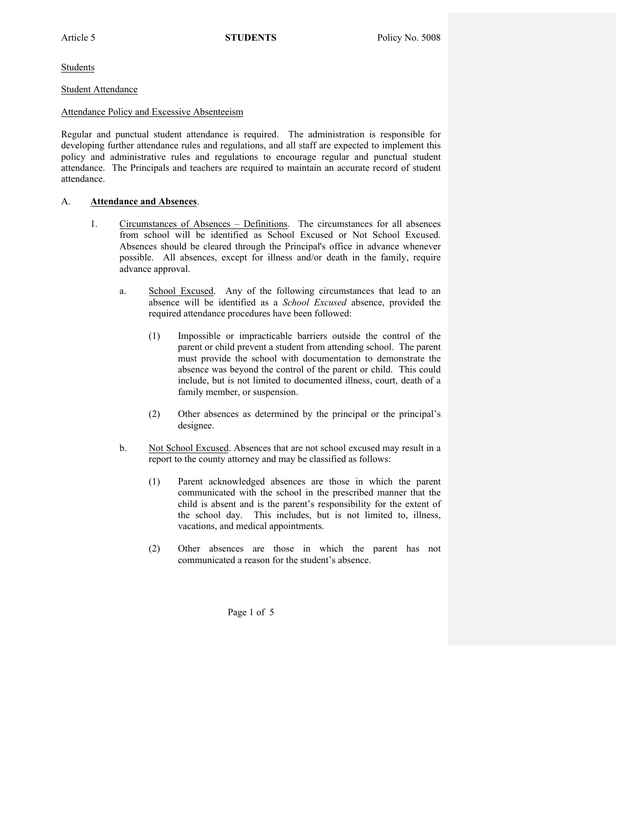Students

Student Attendance

# Attendance Policy and Excessive Absenteeism

Regular and punctual student attendance is required. The administration is responsible for developing further attendance rules and regulations, and all staff are expected to implement this policy and administrative rules and regulations to encourage regular and punctual student attendance. The Principals and teachers are required to maintain an accurate record of student attendance.

# A. **Attendance and Absences**.

- 1. Circumstances of Absences Definitions. The circumstances for all absences from school will be identified as School Excused or Not School Excused. Absences should be cleared through the Principal's office in advance whenever possible. All absences, except for illness and/or death in the family, require advance approval.
	- a. School Excused. Any of the following circumstances that lead to an absence will be identified as a *School Excused* absence, provided the required attendance procedures have been followed:
		- (1) Impossible or impracticable barriers outside the control of the parent or child prevent a student from attending school. The parent must provide the school with documentation to demonstrate the absence was beyond the control of the parent or child. This could include, but is not limited to documented illness, court, death of a family member, or suspension.
		- (2) Other absences as determined by the principal or the principal's designee.
	- b. Not School Excused. Absences that are not school excused may result in a report to the county attorney and may be classified as follows:
		- (1) Parent acknowledged absences are those in which the parent communicated with the school in the prescribed manner that the child is absent and is the parent's responsibility for the extent of the school day. This includes, but is not limited to, illness, vacations, and medical appointments.
		- (2) Other absences are those in which the parent has not communicated a reason for the student's absence.

Page 1 of 5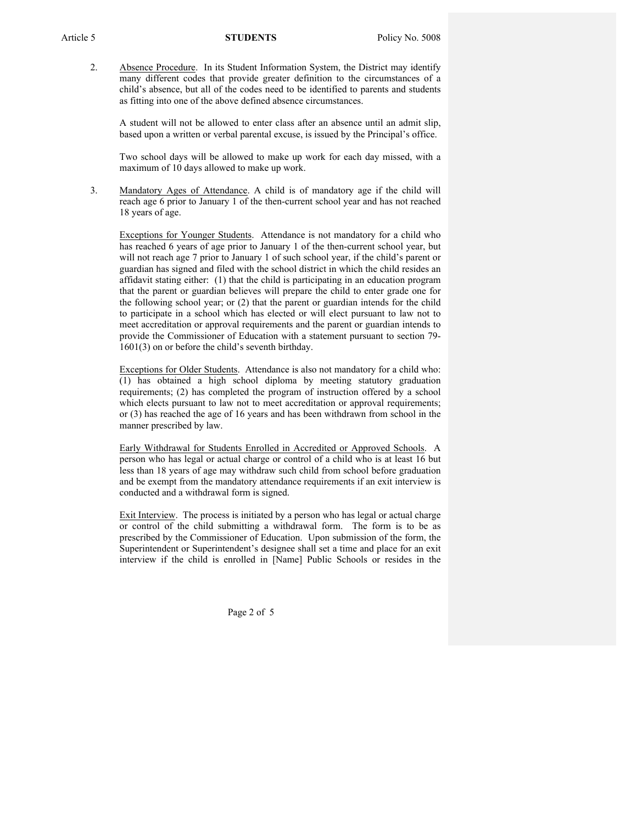2. Absence Procedure. In its Student Information System, the District may identify many different codes that provide greater definition to the circumstances of a child's absence, but all of the codes need to be identified to parents and students as fitting into one of the above defined absence circumstances.

A student will not be allowed to enter class after an absence until an admit slip, based upon a written or verbal parental excuse, is issued by the Principal's office.

Two school days will be allowed to make up work for each day missed, with a maximum of 10 days allowed to make up work.

3. Mandatory Ages of Attendance. A child is of mandatory age if the child will reach age 6 prior to January 1 of the then-current school year and has not reached 18 years of age.

Exceptions for Younger Students. Attendance is not mandatory for a child who has reached 6 years of age prior to January 1 of the then-current school year, but will not reach age 7 prior to January 1 of such school year, if the child's parent or guardian has signed and filed with the school district in which the child resides an affidavit stating either: (1) that the child is participating in an education program that the parent or guardian believes will prepare the child to enter grade one for the following school year; or (2) that the parent or guardian intends for the child to participate in a school which has elected or will elect pursuant to law not to meet accreditation or approval requirements and the parent or guardian intends to provide the Commissioner of Education with a statement pursuant to section 79- 1601(3) on or before the child's seventh birthday.

Exceptions for Older Students. Attendance is also not mandatory for a child who: (1) has obtained a high school diploma by meeting statutory graduation requirements; (2) has completed the program of instruction offered by a school which elects pursuant to law not to meet accreditation or approval requirements; or (3) has reached the age of 16 years and has been withdrawn from school in the manner prescribed by law.

Early Withdrawal for Students Enrolled in Accredited or Approved Schools. A person who has legal or actual charge or control of a child who is at least 16 but less than 18 years of age may withdraw such child from school before graduation and be exempt from the mandatory attendance requirements if an exit interview is conducted and a withdrawal form is signed.

Exit Interview. The process is initiated by a person who has legal or actual charge or control of the child submitting a withdrawal form. The form is to be as prescribed by the Commissioner of Education. Upon submission of the form, the Superintendent or Superintendent's designee shall set a time and place for an exit interview if the child is enrolled in [Name] Public Schools or resides in the

Page 2 of 5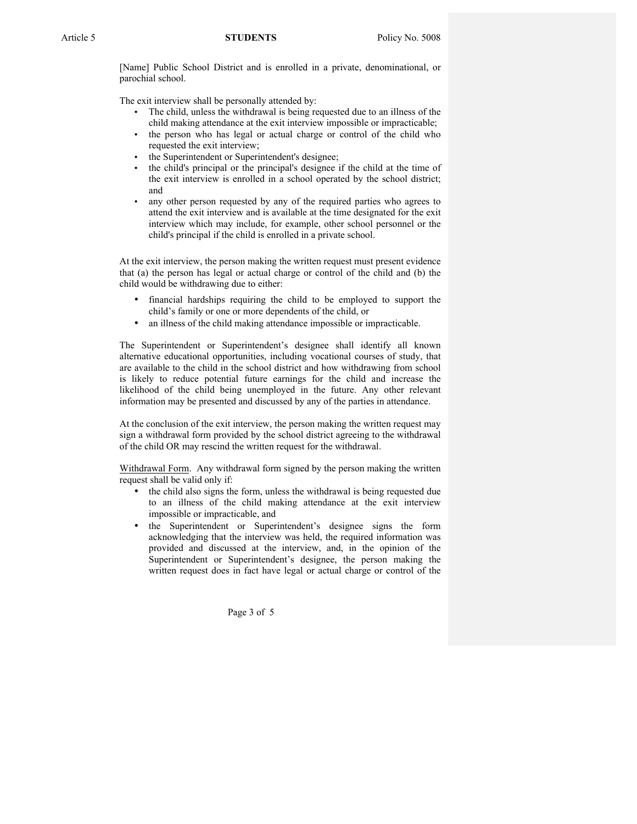[Name] Public School District and is enrolled in a private, denominational, or parochial school.

The exit interview shall be personally attended by:

- The child, unless the withdrawal is being requested due to an illness of the child making attendance at the exit interview impossible or impracticable;
- the person who has legal or actual charge or control of the child who requested the exit interview;
- the Superintendent or Superintendent's designee;
- the child's principal or the principal's designee if the child at the time of the exit interview is enrolled in a school operated by the school district; and
- any other person requested by any of the required parties who agrees to attend the exit interview and is available at the time designated for the exit interview which may include, for example, other school personnel or the child's principal if the child is enrolled in a private school.

At the exit interview, the person making the written request must present evidence that (a) the person has legal or actual charge or control of the child and (b) the child would be withdrawing due to either:

- financial hardships requiring the child to be employed to support the child's family or one or more dependents of the child, or
- an illness of the child making attendance impossible or impracticable.

The Superintendent or Superintendent's designee shall identify all known alternative educational opportunities, including vocational courses of study, that are available to the child in the school district and how withdrawing from school is likely to reduce potential future earnings for the child and increase the likelihood of the child being unemployed in the future. Any other relevant information may be presented and discussed by any of the parties in attendance.

At the conclusion of the exit interview, the person making the written request may sign a withdrawal form provided by the school district agreeing to the withdrawal of the child OR may rescind the written request for the withdrawal.

Withdrawal Form. Any withdrawal form signed by the person making the written request shall be valid only if:

- the child also signs the form, unless the withdrawal is being requested due to an illness of the child making attendance at the exit interview impossible or impracticable, and
- the Superintendent or Superintendent's designee signs the form acknowledging that the interview was held, the required information was provided and discussed at the interview, and, in the opinion of the Superintendent or Superintendent's designee, the person making the written request does in fact have legal or actual charge or control of the

Page 3 of 5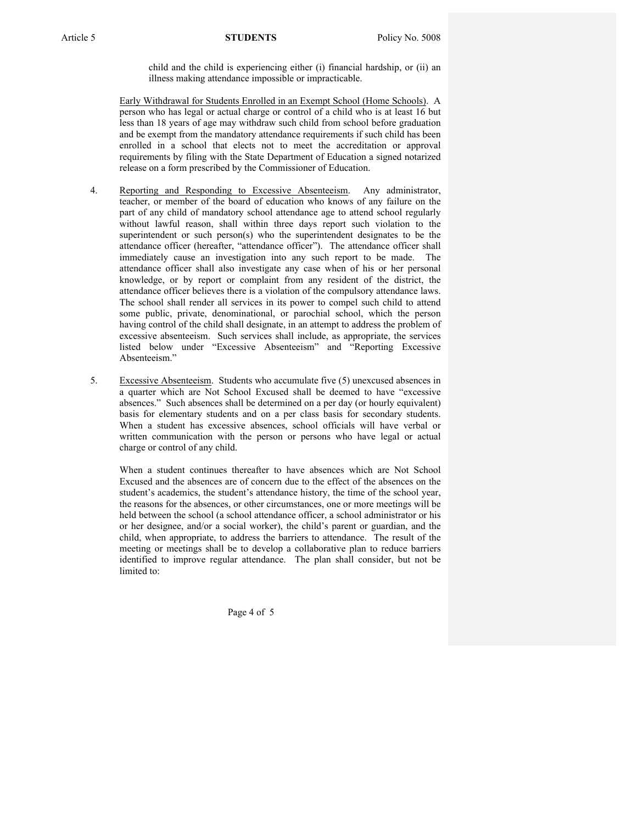child and the child is experiencing either (i) financial hardship, or (ii) an illness making attendance impossible or impracticable.

Early Withdrawal for Students Enrolled in an Exempt School (Home Schools). A person who has legal or actual charge or control of a child who is at least 16 but less than 18 years of age may withdraw such child from school before graduation and be exempt from the mandatory attendance requirements if such child has been enrolled in a school that elects not to meet the accreditation or approval requirements by filing with the State Department of Education a signed notarized release on a form prescribed by the Commissioner of Education.

- 4. Reporting and Responding to Excessive Absenteeism. Any administrator, teacher, or member of the board of education who knows of any failure on the part of any child of mandatory school attendance age to attend school regularly without lawful reason, shall within three days report such violation to the superintendent or such person(s) who the superintendent designates to be the attendance officer (hereafter, "attendance officer"). The attendance officer shall immediately cause an investigation into any such report to be made. The attendance officer shall also investigate any case when of his or her personal knowledge, or by report or complaint from any resident of the district, the attendance officer believes there is a violation of the compulsory attendance laws. The school shall render all services in its power to compel such child to attend some public, private, denominational, or parochial school, which the person having control of the child shall designate, in an attempt to address the problem of excessive absenteeism. Such services shall include, as appropriate, the services listed below under "Excessive Absenteeism" and "Reporting Excessive Absenteeism."
- 5. Excessive Absenteeism. Students who accumulate five (5) unexcused absences in a quarter which are Not School Excused shall be deemed to have "excessive absences." Such absences shall be determined on a per day (or hourly equivalent) basis for elementary students and on a per class basis for secondary students. When a student has excessive absences, school officials will have verbal or written communication with the person or persons who have legal or actual charge or control of any child.

When a student continues thereafter to have absences which are Not School Excused and the absences are of concern due to the effect of the absences on the student's academics, the student's attendance history, the time of the school year, the reasons for the absences, or other circumstances, one or more meetings will be held between the school (a school attendance officer, a school administrator or his or her designee, and/or a social worker), the child's parent or guardian, and the child, when appropriate, to address the barriers to attendance. The result of the meeting or meetings shall be to develop a collaborative plan to reduce barriers identified to improve regular attendance. The plan shall consider, but not be limited to:

Page 4 of 5